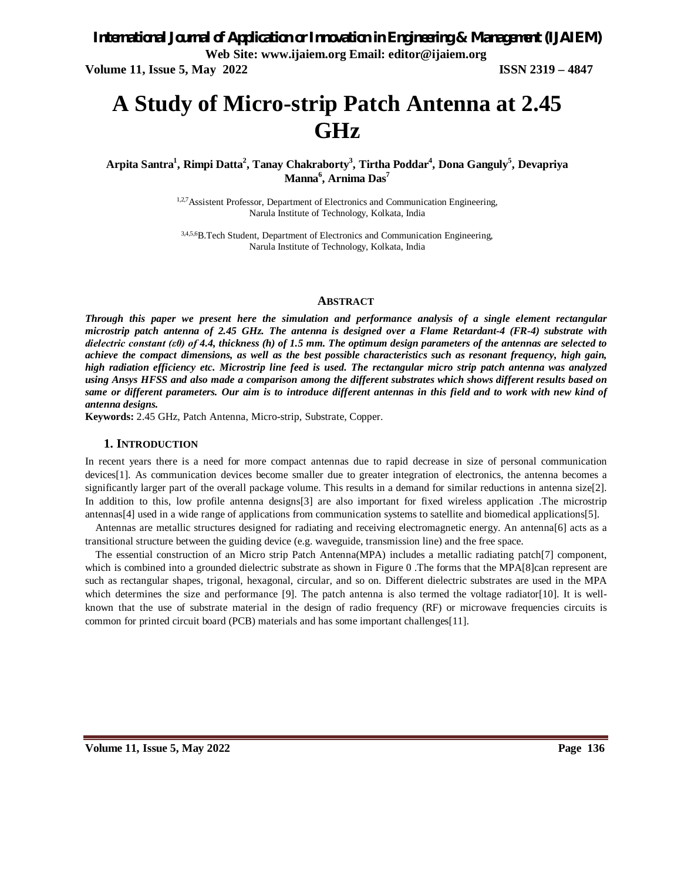**Volume 11, Issue 5, May 2022 ISSN 2319 – 4847**

# **A Study of Micro-strip Patch Antenna at 2.45 GHz**

**Arpita Santra<sup>1</sup> , Rimpi Datta<sup>2</sup> , Tanay Chakraborty<sup>3</sup> , Tirtha Poddar<sup>4</sup> , Dona Ganguly<sup>5</sup> , Devapriya Manna<sup>6</sup> , Arnima Das<sup>7</sup>**

> <sup>1,2,7</sup> Assistent Professor, Department of Electronics and Communication Engineering, Narula Institute of Technology, Kolkata, India

3,4,5,6B.Tech Student, Department of Electronics and Communication Engineering, Narula Institute of Technology, Kolkata, India

#### **ABSTRACT**

*Through this paper we present here the simulation and performance analysis of a single element rectangular microstrip patch antenna of 2.45 GHz. The antenna is designed over a Flame Retardant-4 (FR-4) substrate with dielectric constant (ε0) of 4.4, thickness (h) of 1.5 mm. The optimum design parameters of the antennas are selected to achieve the compact dimensions, as well as the best possible characteristics such as resonant frequency, high gain, high radiation efficiency etc. Microstrip line feed is used. The rectangular micro strip patch antenna was analyzed using Ansys HFSS and also made a comparison among the different substrates which shows different results based on same or different parameters. Our aim is to introduce different antennas in this field and to work with new kind of antenna designs.*

**Keywords:** 2.45 GHz, Patch Antenna, Micro-strip, Substrate, Copper.

#### **1. INTRODUCTION**

In recent years there is a need for more compact antennas due to rapid decrease in size of personal communication devices[1]. As communication devices become smaller due to greater integration of electronics, the antenna becomes a significantly larger part of the overall package volume. This results in a demand for similar reductions in antenna size[2]. In addition to this, low profile antenna designs[3] are also important for fixed wireless application .The microstrip antennas[4] used in a wide range of applications from communication systems to satellite and biomedical applications[5].

Antennas are metallic structures designed for radiating and receiving electromagnetic energy. An antenna[6] acts as a transitional structure between the guiding device (e.g. waveguide, transmission line) and the free space.

The essential construction of an Micro strip Patch Antenna(MPA) includes a metallic radiating patch[7] component, which is combined into a grounded dielectric substrate as shown in Figure 0 .The forms that the MPA[8]can represent are such as rectangular shapes, trigonal, hexagonal, circular, and so on. Different dielectric substrates are used in the MPA which determines the size and performance  $[9]$ . The patch antenna is also termed the voltage radiator $[10]$ . It is wellknown that the use of substrate material in the design of radio frequency (RF) or microwave frequencies circuits is common for printed circuit board (PCB) materials and has some important challenges[11].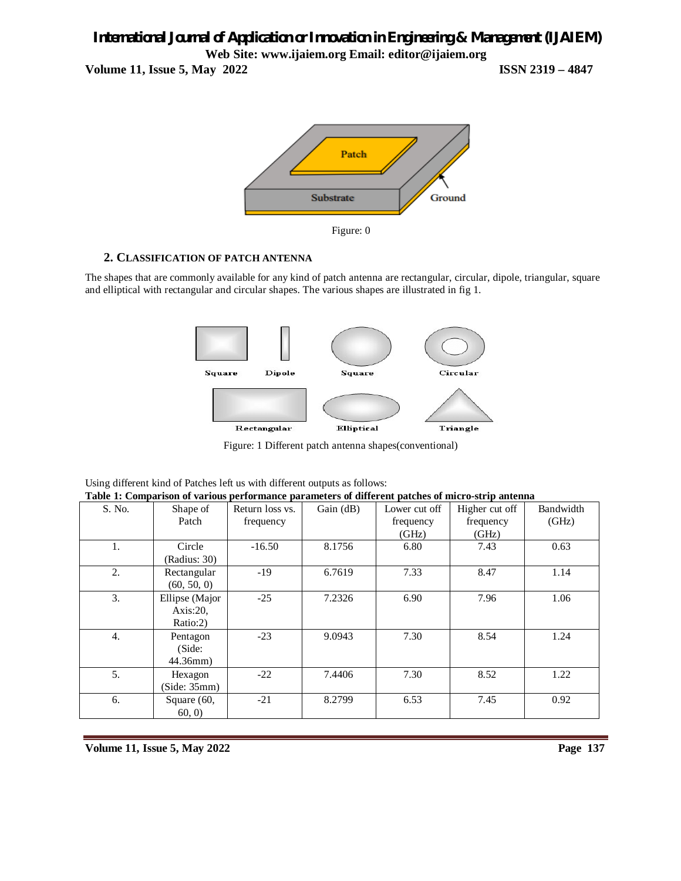**Volume 11, Issue 5, May 2022 ISSN 2319 – 4847**



#### **2. CLASSIFICATION OF PATCH ANTENNA**

The shapes that are commonly available for any kind of patch antenna are rectangular, circular, dipole, triangular, square and elliptical with rectangular and circular shapes. The various shapes are illustrated in fig 1.



Figure: 1 Different patch antenna shapes(conventional)

| Table 1: Comparison of various performance parameters of different patches of micro-strip antenna |                |                 |           |               |                |           |
|---------------------------------------------------------------------------------------------------|----------------|-----------------|-----------|---------------|----------------|-----------|
| S. No.                                                                                            | Shape of       | Return loss vs. | Gain (dB) | Lower cut off | Higher cut off | Bandwidth |
|                                                                                                   | Patch          | frequency       |           | frequency     | frequency      | (GHz)     |
|                                                                                                   |                |                 |           | (GHz)         | (GHz)          |           |
| 1.                                                                                                | Circle         | $-16.50$        | 8.1756    | 6.80          | 7.43           | 0.63      |
|                                                                                                   | (Radius: 30)   |                 |           |               |                |           |
| 2.                                                                                                | Rectangular    | $-19$           | 6.7619    | 7.33          | 8.47           | 1.14      |
|                                                                                                   | (60, 50, 0)    |                 |           |               |                |           |
| 3.                                                                                                | Ellipse (Major | $-25$           | 7.2326    | 6.90          | 7.96           | 1.06      |
|                                                                                                   | Axis:20.       |                 |           |               |                |           |
|                                                                                                   | Ratio:2)       |                 |           |               |                |           |
| $\overline{4}$ .                                                                                  | Pentagon       | $-23$           | 9.0943    | 7.30          | 8.54           | 1.24      |
|                                                                                                   | (Side:         |                 |           |               |                |           |
|                                                                                                   | $44.36$ mm $)$ |                 |           |               |                |           |
| 5.                                                                                                | Hexagon        | $-22$           | 7.4406    | 7.30          | 8.52           | 1.22      |
|                                                                                                   | (Side: 35mm)   |                 |           |               |                |           |
| 6.                                                                                                | Square (60,    | $-21$           | 8.2799    | 6.53          | 7.45           | 0.92      |
|                                                                                                   | 60, 0)         |                 |           |               |                |           |

| Using different kind of Patches left us with different outputs as follows: |  |
|----------------------------------------------------------------------------|--|
| Toble 1. Companison of various porformance parameters of different patch   |  |

**Volume 11, Issue 5, May 2022** Page 137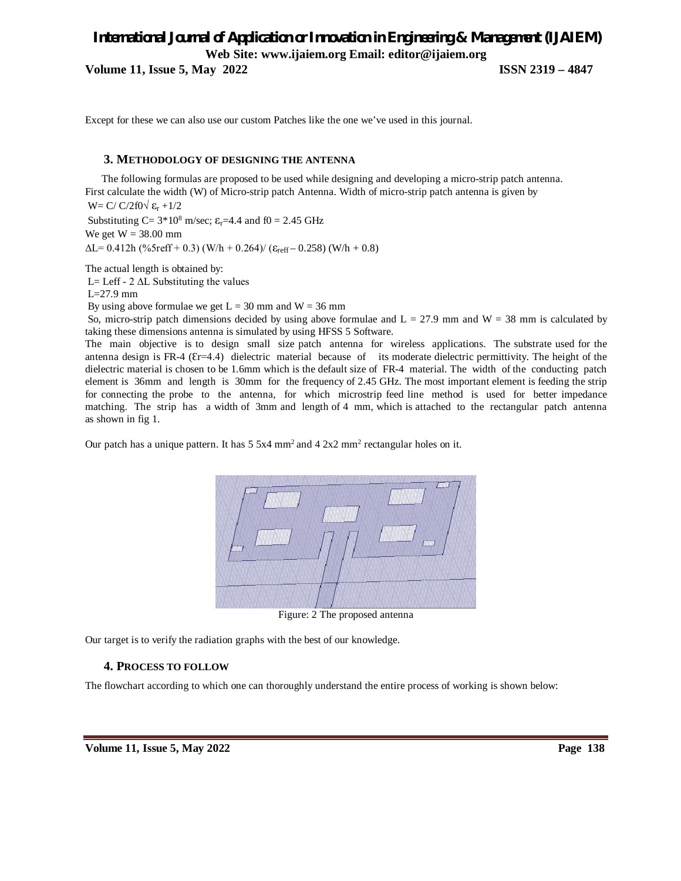**Volume 11, Issue 5, May 2022 ISSN 2319 – 4847**

Except for these we can also use our custom Patches like the one we've used in this journal.

#### **3. METHODOLOGY OF DESIGNING THE ANTENNA**

 The following formulas are proposed to be used while designing and developing a micro-strip patch antenna. First calculate the width (W) of Micro-strip patch Antenna. Width of micro-strip patch antenna is given by

W= C/ C/2f0 $\sqrt{\epsilon_r}$  +1/2

Substituting C=  $3*10^8$  m/sec;  $\varepsilon_r$ =4.4 and f0 = 2.45 GHz We get  $W = 38.00$  mm  $\Delta L = 0.412$ h (%5reff + 0.3) (W/h + 0.264)/ ( $\varepsilon_{reff}$  – 0.258) (W/h + 0.8)

The actual length is obtained by:

L= Leff - 2 ΔL Substituting the values

L=27.9 mm

By using above formulae we get  $L = 30$  mm and  $W = 36$  mm

So, micro-strip patch dimensions decided by using above formulae and  $L = 27.9$  mm and  $W = 38$  mm is calculated by taking these dimensions antenna is simulated by using HFSS 5 Software.

The main objective is to design small size patch antenna for wireless applications. The substrate used for the antenna design is FR-4 ( $Er=4.4$ ) dielectric material because of its moderate dielectric permittivity. The height of the dielectric material is chosen to be 1.6mm which is the default size of FR-4 material. The width of the conducting patch element is 36mm and length is 30mm for the frequency of 2.45 GHz. The most important element is feeding the strip for connecting the probe to the antenna, for which microstrip feed line method is used for better impedance matching. The strip has a width of 3mm and length of 4 mm, which is attached to the rectangular patch antenna as shown in fig 1.

Our patch has a unique pattern. It has  $5.5x4 \text{ mm}^2$  and  $4.2x2 \text{ mm}^2$  rectangular holes on it.



Figure: 2 The proposed antenna

Our target is to verify the radiation graphs with the best of our knowledge.

#### **4. PROCESS TO FOLLOW**

The flowchart according to which one can thoroughly understand the entire process of working is shown below: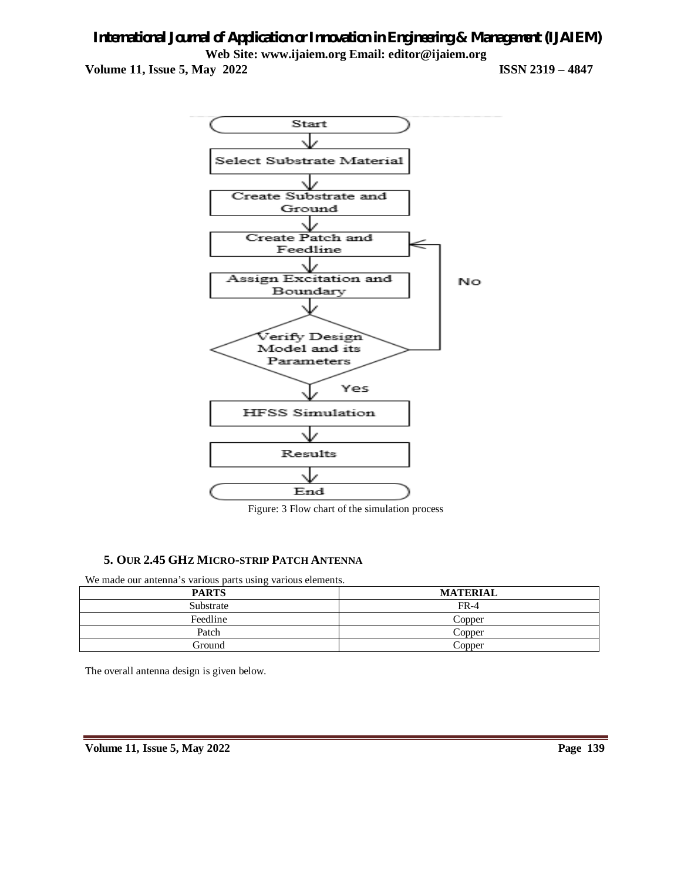**Volume 11, Issue 5, May 2022 ISSN 2319 – 4847**



Figure: 3 Flow chart of the simulation process

## **5. OUR 2.45 GHZ MICRO-STRIP PATCH ANTENNA**

We made our antenna's various parts using various elements.

| <b>PARTS</b> | <b>MATERIAL</b> |
|--------------|-----------------|
| Substrate    | $FR-4$          |
| Feedline     | Copper          |
| Patch        | Copper          |
| Ground       | Copper          |

The overall antenna design is given below.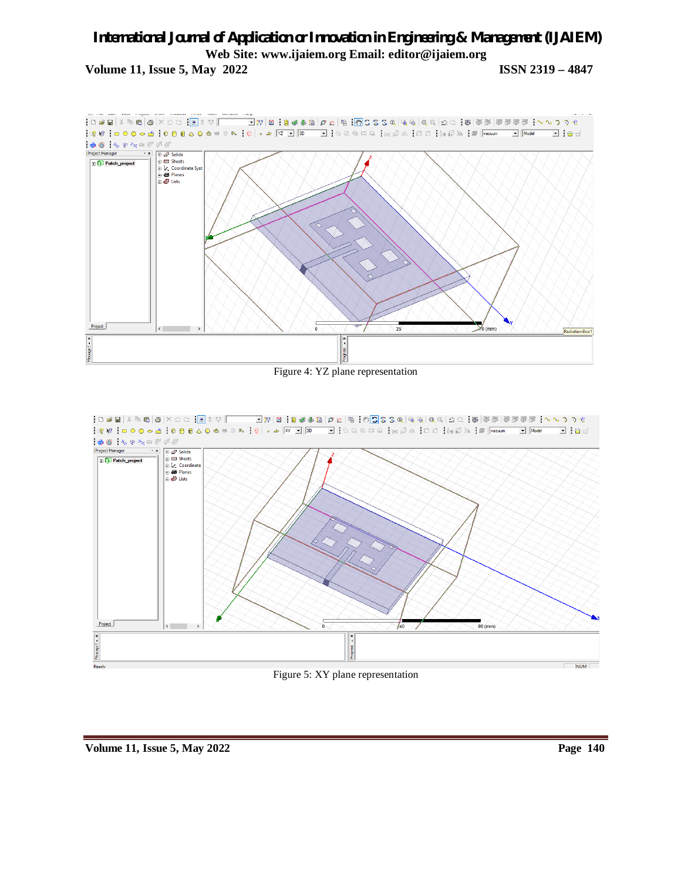# *International Journal of Application or Innovation in Engineering & Management (IJAIEM)* **Web Site: www.ijaiem.org Email: editor@ijaiem.org Volume 11, Issue 5, May 2022 ISSN 2319 – 4847**



Figure 4: YZ plane representation

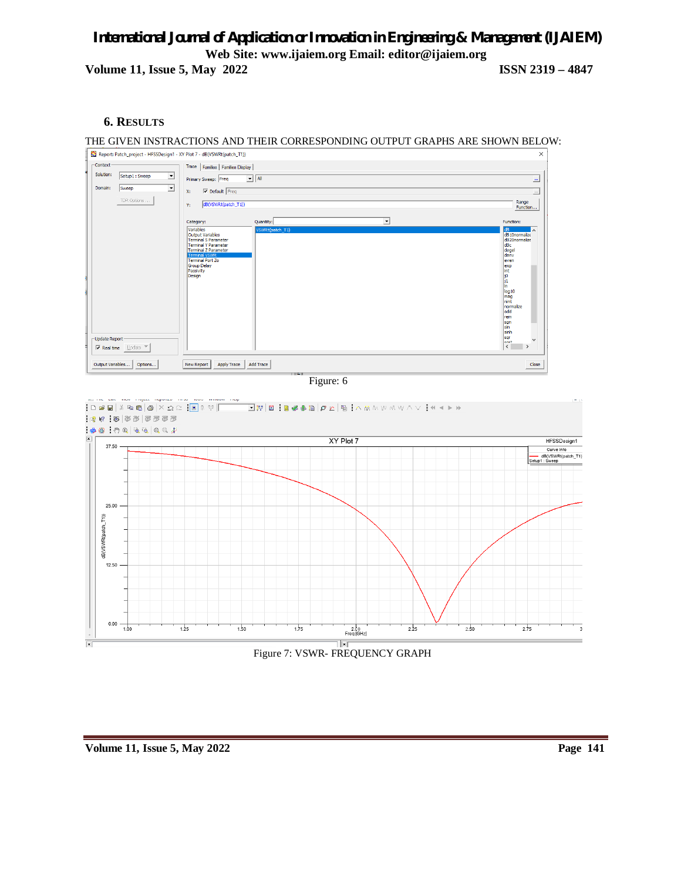# *International Journal of Application or Innovation in Engineering & Management (IJAIEM)* **Web Site: www.ijaiem.org Email: editor@ijaiem.org Volume 11, Issue 5, May 2022 ISSN 2319 – 4847**

## **6. RESULTS**

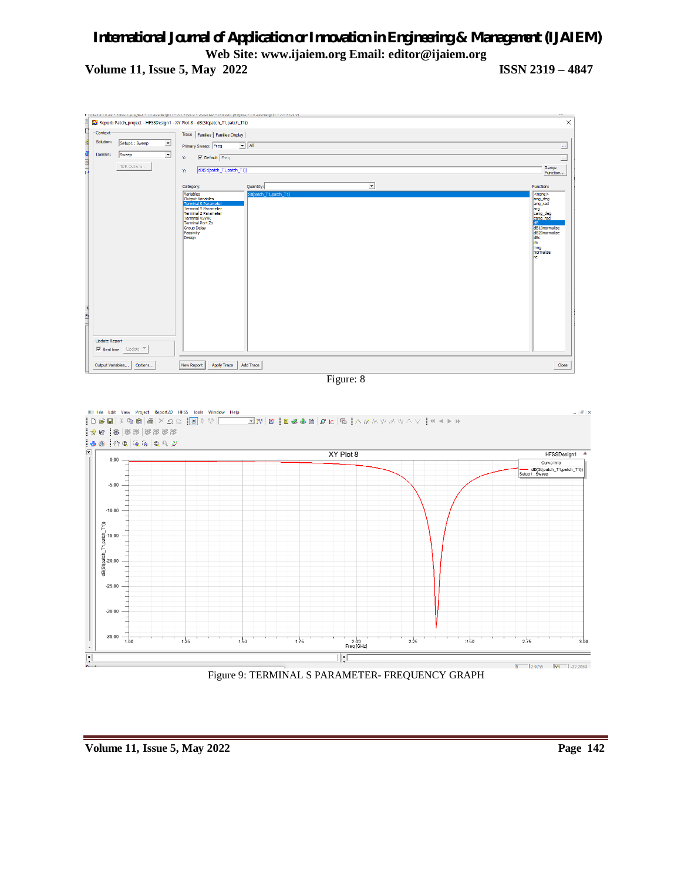**Volume 11, Issue 5, May 2022 ISSN 2319 – 4847**



Figure 9: TERMINAL S PARAMETER- FREQUENCY GRAPH